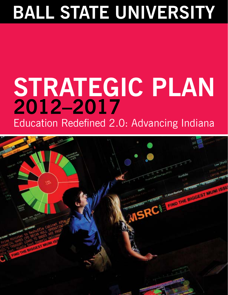# **BALL STATE UNIVERSITY**

# **STRATEGIC PLAN 2012–2017**

Education Redefined 2.0: Advancing Indiana

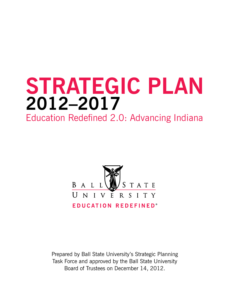# **STRATEGIC PLAN 2012–2017**

Education Redefined 2.0: Advancing Indiana



Prepared by Ball State University's Strategic Planning Task Force and approved by the Ball State University Board of Trustees on December 14, 2012.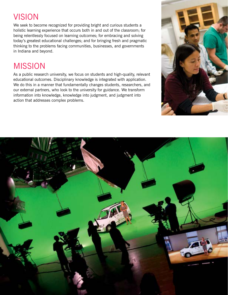## VISION

We seek to become recognized for providing bright and curious students a holistic learning experience that occurs both in and out of the classroom; for being relentlessly focused on learning outcomes; for embracing and solving today's greatest educational challenges; and for bringing fresh and pragmatic thinking to the problems facing communities, businesses, and governments in Indiana and beyond.

## MISSION

As a public research university, we focus on students and high-quality, relevant educational outcomes. Disciplinary knowledge is integrated with application. We do this in a manner that fundamentally changes students, researchers, and our external partners, who look to the university for guidance. We transform information into knowledge, knowledge into judgment, and judgment into action that addresses complex problems.



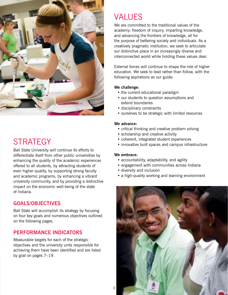

## **STRATEGY**

Ball State University will continue its efforts to differentiate itself from other public universities by enhancing the quality of the academic experiences offered to all students, by attracting students of even higher quality, by supporting strong faculty and academic programs, by enhancing a vibrant university community, and by providing a distinctive impact on the economic well-being of the state of Indiana.

#### **GOALS/OBJECTIVES**

Ball State will accomplish its strategy by focusing on four key goals and numerous objectives outlined on the following pages.

#### **PERFORMANCE INDICATORS**

Measurable targets for each of the strategic objectives and the university units responsible for achieving them have been identified and are listed by goal on pages 7–19.

### VALUES

We are committed to the traditional values of the academy: freedom of inquiry, imparting knowledge, and advancing the frontiers of knowledge, all for the purpose of bettering society and individuals. As a creatively pragmatic institution, we seek to articulate our distinctive place in an increasingly diverse and interconnected world while holding these values dear.

External forces will continue to shape the role of higher education. We seek to lead rather than follow, with the following aspirations as our guide:

#### **We challenge:**

- the current educational paradigm
- our students to question assumptions and extend boundaries
- disciplinary constraints
- ourselves to be strategic with limited resources

#### **We advance:**

- critical thinking and creative problem solving
- scholarship and creative activity
- coherent, integrated student experiences
- innovative built spaces and campus infrastructure

#### **We embrace:**

- accountability, adaptability, and agility
- engagement with communities across Indiana
- diversity and inclusion
- a high-quality working and learning environment

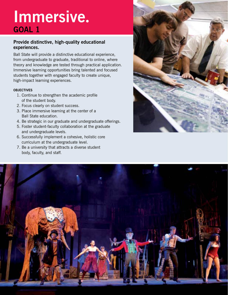# **Immersive. GOAL 1**

#### **Provide distinctive, high-quality educational experiences.**

Ball State will provide a distinctive educational experience, from undergraduate to graduate, traditional to online, where theory and knowledge are tested through practical application. Immersive learning opportunities bring talented and focused students together with engaged faculty to create unique, high-impact learning experiences.

#### **OBJECTIVES**

- 1. Continue to strengthen the academic profile of the student body.
- 2. Focus clearly on student success.
- 3. Place immersive learning at the center of a Ball State education.
- 4. Be strategic in our graduate and undergraduate offerings.
- 5. Foster student-faculty collaboration at the graduate and undergraduate levels.
- 6. Successfully implement a cohesive, holistic core curriculum at the undergraduate level.
- 7. Be a university that attracts a diverse student body, faculty, and staff.



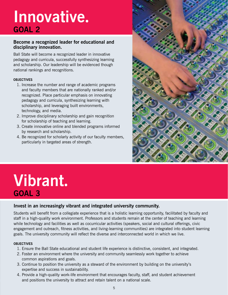# **Innovative. GOAL 2**

#### **Become a recognized leader for educational and disciplinary innovation.**

Ball State will become a recognized leader in innovative pedagogy and curricula, successfully synthesizing learning and scholarship. Our leadership will be evidenced though national rankings and recognitions.

#### **OBJECTIVES**

- 1. Increase the number and range of academic programs and faculty members that are nationally ranked and/or recognized. Place particular emphasis on innovating pedagogy and curricula, synthesizing learning with scholarship, and leveraging built environments, technology, and media.
- 2. Improve disciplinary scholarship and gain recognition for scholarship of teaching and learning.
- 3. Create innovative online and blended programs informed by research and scholarship.
- 4. Be recognized for scholarly activity of our faculty members, particularly in targeted areas of strength.



## **Vibrant. GOAL 3**

#### **Invest in an increasingly vibrant and integrated university community.**

Students will benefit from a collegiate experience that is a holistic learning opportunity, facilitated by faculty and staff in a high-quality work environment. Professors and students remain at the center of teaching and learning while technology and facilities as well as cocurricular activities (speakers, social and cultural offerings, civic engagement and outreach, fitness activities, and living-learning communities) are integrated into student learning goals. The university community will reflect the diverse and interconnected world in which we live.

#### **OBJECTIVES**

- 1. Ensure the Ball State educational and student life experience is distinctive, consistent, and integrated.
- 2. Foster an environment where the university and community seamlessly work together to achieve common aspirations and goals.
- 3. Continue to position the university as a steward of the environment by building on the university's expertise and success in sustainability.
- 4. Provide a high-quality work-life environment that encourages faculty, staff, and student achievement and positions the university to attract and retain talent on a national scale.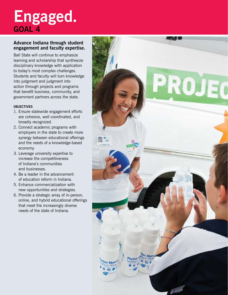## **Engaged. GOAL 4**

#### **Advance Indiana through student engagement and faculty expertise.**

Ball State will continue to emphasize learning and scholarship that synthesize disciplinary knowledge with application to today's most complex challenges. Students and faculty will turn knowledge into judgment and judgment into action through projects and programs that benefit business, community, and government partners across the state.

#### **OBJECTIVES**

- 1. Ensure statewide engagement efforts are cohesive, well coordinated, and broadly recognized.
- 2. Connect academic programs with employers in the state to create more synergy between educational offerings and the needs of a knowledge-based economy.
- 3. Leverage university expertise to increase the competitiveness of Indiana's communities and businesses.
- 4. Be a leader in the advancement of education reform in Indiana.
- 5. Enhance commercialization with new opportunities and strategies.
- 6. Provide a strategic array of in-person, online, and hybrid educational offerings that meet the increasingly diverse needs of the state of Indiana.

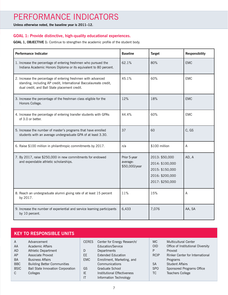## PERFORMANCE INDICATORS

**Unless otherwise noted, the baseline year is 2011–12.**

#### **GOAL 1: Provide distinctive, high-quality educational experiences.**

#### GOAL 1, OBJECTIVE 1: Continue to strengthen the academic profile of the student body.

| <b>Performance Indicator</b>                                                                                                                                                         | <b>Baseline</b>                           | <b>Target</b>                                                                              | <b>Responsibility</b> |
|--------------------------------------------------------------------------------------------------------------------------------------------------------------------------------------|-------------------------------------------|--------------------------------------------------------------------------------------------|-----------------------|
| 1. Increase the percentage of entering freshmen who pursued the<br>Indiana Academic Honors Diploma or its equivalent to 80 percent.                                                  | 62.1%                                     | 80%                                                                                        | <b>EMC</b>            |
| 2. Increase the percentage of entering freshmen with advanced<br>standing, including AP credit, International Baccalaureate credit,<br>dual credit, and Ball State placement credit. | 45.1%                                     | 60%                                                                                        | <b>EMC</b>            |
| 3. Increase the percentage of the freshman class eligible for the<br>Honors College.                                                                                                 | 12%                                       | 18%                                                                                        | <b>EMC</b>            |
| 4. Increase the percentage of entering transfer students with GPAs<br>of 3.0 or better.                                                                                              | 44.4%                                     | 60%                                                                                        | <b>EMC</b>            |
| 5. Increase the number of master's programs that have enrolled<br>students with an average undergraduate GPA of at least 3.30.                                                       | 37                                        | 60                                                                                         | C, GS                 |
| 6. Raise \$100 million in philanthropic commitments by 2017.                                                                                                                         | n/a                                       | \$100 million                                                                              | A                     |
| 7. By 2017, raise \$250,000 in new commitments for endowed<br>and expendable athletic scholarships.                                                                                  | Prior 5-year<br>average:<br>\$50,000/year | 2013: \$50,000<br>2014: \$100,000<br>2015: \$150,000<br>2016: \$200,000<br>2017: \$250,000 | AD, A                 |
| 8. Reach an undergraduate alumni giving rate of at least 15 percent<br>by 2017.                                                                                                      | 11%                                       | 15%                                                                                        | $\mathsf A$           |
| 9. Increase the number of experiential and service learning participants<br>by 10 percent.                                                                                           | 6,433                                     | 7,076                                                                                      | AA, SA                |

|                | <b>KEY TO RESPONSIBLE UNITS</b>          |              |                             |             |                                        |
|----------------|------------------------------------------|--------------|-----------------------------|-------------|----------------------------------------|
| $\overline{A}$ | Advancement                              | <b>CERES</b> | Center for Energy Research/ | MC.         | <b>Multicultural Center</b>            |
| AA             | Academic Affairs                         |              | Education/Service           | <b>OID</b>  | Office of Institutional Diversity      |
| <b>AD</b>      | Athletic Department                      | D            | Departments                 | P           | Provost                                |
| AP             | Associate Provost                        | EE           | <b>Extended Education</b>   | <b>RCIP</b> | <b>Rinker Center for International</b> |
| <b>BA</b>      | <b>Business Affairs</b>                  | <b>EMC</b>   | Enrollment, Marketing, and  |             | Programs                               |
| <b>BBC</b>     | <b>Building Better Communities</b>       |              | Communications              | <b>SA</b>   | <b>Student Affairs</b>                 |
| <b>BSIC</b>    | <b>Ball State Innovation Corporation</b> | GS           | Graduate School             | <b>SPO</b>  | Sponsored Programs Office              |
| C              | Colleges                                 | IE           | Institutional Effectiveness | ТC          | <b>Teachers College</b>                |
|                |                                          | IT           | Information Technology      |             |                                        |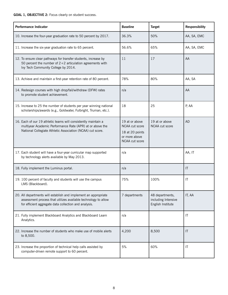#### **GOAL 1, OBJECTIVE 2:** Focus clearly on student success.

| <b>Performance Indicator</b>                                                                                                                                                               | <b>Baseline</b>                                                                        | <b>Target</b>                                               | <b>Responsibility</b>  |
|--------------------------------------------------------------------------------------------------------------------------------------------------------------------------------------------|----------------------------------------------------------------------------------------|-------------------------------------------------------------|------------------------|
| 10. Increase the four-year graduation rate to 50 percent by 2017.                                                                                                                          | 36.3%                                                                                  | 50%                                                         | AA, SA, EMC            |
| 11. Increase the six-year graduation rate to 65 percent.                                                                                                                                   | 56.6%                                                                                  | 65%                                                         | AA, SA, EMC            |
| 12. To ensure clear pathways for transfer students, increase by<br>50 percent the number of $2+2$ articulation agreements with<br>Ivy Tech Community College by 2014.                      | 11                                                                                     | 17                                                          | AA                     |
| 13. Achieve and maintain a first-year retention rate of 80 percent.                                                                                                                        | 78%                                                                                    | 80%                                                         | AA, SA                 |
| 14. Redesign courses with high drop/fail/withdraw (DFW) rates<br>to promote student achievement.                                                                                           | n/a                                                                                    |                                                             | AA                     |
| 15. Increase to 25 the number of students per year winning national<br>scholarships/awards (e.g., Goldwater, Fulbright, Truman, etc.).                                                     | 18                                                                                     | 25                                                          | P, AA                  |
| 16. Each of our 19 athletic teams will consistently maintain a<br>multiyear Academic Performance Rate (APR) at or above the<br>National Collegiate Athletic Association (NCAA) cut score.  | 19 at or above<br>NCAA cut score<br>18 at 20 points<br>or more above<br>NCAA cut score | 19 at or above<br>NCAA cut score                            | <b>AD</b>              |
| 17. Each student will have a four-year curricular map supported<br>by technology alerts available by May 2013.                                                                             | n/a                                                                                    |                                                             | AA, IT                 |
| 18. Fully implement the Luminus portal.                                                                                                                                                    | n/a                                                                                    |                                                             | $\mathsf{I}\mathsf{T}$ |
| 19. 100 percent of faculty and students will use the campus<br>LMS (Blackboard).                                                                                                           | 75%                                                                                    | 100%                                                        | $\mathsf{I}\mathsf{T}$ |
| 20. All departments will establish and implement an appropriate<br>assessment process that utilizes available technology to allow<br>for efficient aggregate data collection and analysis. | 7 departments                                                                          | 48 departments,<br>including Intensive<br>English Institute | IT, AA                 |
| 21. Fully implement Blackboard Analytics and Blackboard Learn<br>Analytics.                                                                                                                | n/a                                                                                    |                                                             | $\mathsf{I}\mathsf{T}$ |
| 22. Increase the number of students who make use of mobile alerts<br>to 8,500.                                                                                                             | 4,200                                                                                  | 8,500                                                       | $\mathsf{I}\mathsf{T}$ |
| 23. Increase the proportion of technical help calls assisted by<br>computer-driven remote support to 60 percent.                                                                           | 5%                                                                                     | 60%                                                         | $\mathsf{I}\mathsf{T}$ |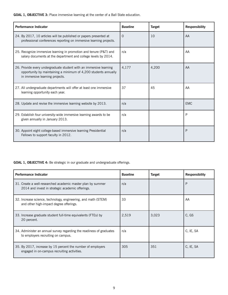**GOAL 1, OBJECTIVE 3:** Place immersive learning at the center of a Ball State education.

| <b>Performance Indicator</b>                                                                                                                                             | <b>Baseline</b> | <b>Target</b> | <b>Responsibility</b> |
|--------------------------------------------------------------------------------------------------------------------------------------------------------------------------|-----------------|---------------|-----------------------|
| 24. By 2017, 10 articles will be published or papers presented at<br>professional conferences reporting on immersive learning projects.                                  | $\Omega$        | 10            | AA                    |
| 25. Recognize immersive learning in promotion and tenure (P&T) and<br>salary documents at the department and college levels by 2014.                                     | n/a             |               | AA                    |
| 26. Provide every undergraduate student with an immersive learning<br>opportunity by maintaining a minimum of 4,200 students annually<br>in immersive learning projects. | 4,177           | 4,200         | AA                    |
| 27. All undergraduate departments will offer at least one immersive<br>learning opportunity each year.                                                                   | 37              | 45            | AA                    |
| 28. Update and revise the immersive learning website by 2013.                                                                                                            | n/a             |               | <b>EMC</b>            |
| 29. Establish four university-wide immersive learning awards to be<br>given annually in January 2013.                                                                    | n/a             |               | P                     |
| 30. Appoint eight college-based immersive learning Presidential<br>Fellows to support faculty in 2012.                                                                   | n/a             |               | P                     |

**GOAL 1, OBJECTIVE 4:** Be strategic in our graduate and undergraduate offerings.

| <b>Performance Indicator</b>                                                                                    | <b>Baseline</b> | <b>Target</b> | <b>Responsibility</b> |
|-----------------------------------------------------------------------------------------------------------------|-----------------|---------------|-----------------------|
| 31. Create a well-researched academic master plan by summer<br>2014 and invest in strategic academic offerings. | n/a             |               | P                     |
| 32. Increase science, technology, engineering, and math (STEM)<br>and other high-impact degree offerings.       | 33              |               | AA                    |
| 33. Increase graduate student full-time equivalents (FTEs) by<br>20 percent.                                    | 2,519           | 3,023         | C, GS                 |
| 34. Administer an annual survey regarding the readiness of graduates<br>to employers recruiting on campus.      | n/a             |               | C, IE, SA             |
| 35. By 2017, increase by 15 percent the number of employers<br>engaged in on-campus recruiting activities.      | 305             | 351           | C, IE, SA             |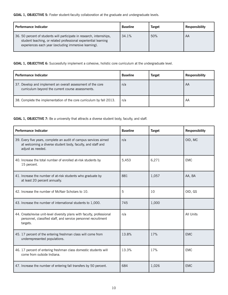**GOAL 1, OBJECTIVE 5:** Foster student-faculty collaboration at the graduate and undergraduate levels.

| <b>Performance Indicator</b>                                                                                                                                                                      | <b>Baseline</b> | <b>Target</b> | <b>Responsibility</b> |
|---------------------------------------------------------------------------------------------------------------------------------------------------------------------------------------------------|-----------------|---------------|-----------------------|
| 36. 50 percent of students will participate in research, internships,<br>student teaching, or related professional experiential learning<br>experiences each year (excluding immersive learning). | 34.1%           | 50%           | AA                    |

**GOAL 1, OBJECTIVE 6:** Successfully implement a cohesive, holistic core curriculum at the undergraduate level.

| <b>Performance Indicator</b>                                                                                     | <b>Baseline</b> | <b>Target</b> | <b>Responsibility</b> |
|------------------------------------------------------------------------------------------------------------------|-----------------|---------------|-----------------------|
| 37. Develop and implement an overall assessment of the core<br>curriculum beyond the current course assessments. | n/a             |               | AA                    |
| 38. Complete the implementation of the core curriculum by fall 2013.                                             | n/a             |               | AA                    |

GOAL 1, OBJECTIVE 7: Be a university that attracts a diverse student body, faculty, and staff.

| <b>Performance Indicator</b>                                                                                                                          | <b>Baseline</b> | <b>Target</b> | <b>Responsibility</b> |
|-------------------------------------------------------------------------------------------------------------------------------------------------------|-----------------|---------------|-----------------------|
| 39. Every five years, complete an audit of campus services aimed<br>at welcoming a diverse student body, faculty, and staff and<br>adjust as needed.  | n/a             |               | OID, MC               |
| 40. Increase the total number of enrolled at-risk students by<br>15 percent.                                                                          | 5,453           | 6,271         | <b>EMC</b>            |
| 41. Increase the number of at-risk students who graduate by<br>at least 20 percent annually.                                                          | 881             | 1,057         | AA, BA                |
| 42. Increase the number of McNair Scholars to 10.                                                                                                     | 5               | 10            | OID, GS               |
| 43. Increase the number of international students to 1,000.                                                                                           | 745             | 1,000         |                       |
| 44. Create/revise unit-level diversity plans with faculty, professional<br>personnel, classified staff, and service personnel recruitment<br>targets. | n/a             |               | All Units             |
| 45. 17 percent of the entering freshman class will come from<br>underrepresented populations.                                                         | 13.8%           | 17%           | <b>EMC</b>            |
| 46. 17 percent of entering freshman class domestic students will<br>come from outside Indiana.                                                        | 13.3%           | 17%           | <b>EMC</b>            |
| 47. Increase the number of entering fall transfers by 50 percent.                                                                                     | 684             | 1,026         | <b>EMC</b>            |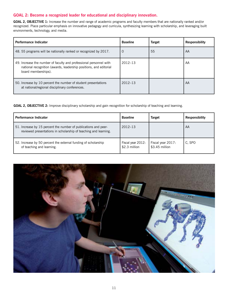#### **GOAL 2: Become a recognized leader for educational and disciplinary innovation.**

**GOAL 2, OBJECTIVE 1:** Increase the number and range of academic programs and faculty members that are nationally ranked and/or recognized. Place particular emphasis on innovative pedagogy and curricula, synthesizing learning with scholarship, and leveraging built environments, technology, and media.

| <b>Performance Indicator</b>                                                                                                                                   | <b>Baseline</b> | <b>Target</b> | <b>Responsibility</b> |
|----------------------------------------------------------------------------------------------------------------------------------------------------------------|-----------------|---------------|-----------------------|
| 48. 55 programs will be nationally ranked or recognized by 2017.                                                                                               | 0               | 55            | AA                    |
| 49. Increase the number of faculty and professional personnel with<br>national recognition (awards, leadership positions, and editorial<br>board memberships). | $2012 - 13$     |               | AA                    |
| 50. Increase by 10 percent the number of student presentations<br>at national/regional disciplinary conferences.                                               | $2012 - 13$     |               | AA                    |

**GOAL 2, OBJECTIVE 2:** Improve disciplinary scholarship and gain recognition for scholarship of teaching and learning.

| <b>Performance Indicator</b>                                                                                                       | <b>Baseline</b>                    | <b>Target</b>                       | <b>Responsibility</b> |
|------------------------------------------------------------------------------------------------------------------------------------|------------------------------------|-------------------------------------|-----------------------|
| 51. Increase by 15 percent the number of publications and peer-<br>reviewed presentations in scholarship of teaching and learning. | $2012 - 13$                        |                                     | AA                    |
| 52. Increase by 50 percent the external funding of scholarship<br>of teaching and learning.                                        | Fiscal year 2012:<br>\$2.3 million | Fiscal year 2017:<br>\$3.45 million | C, SPO                |

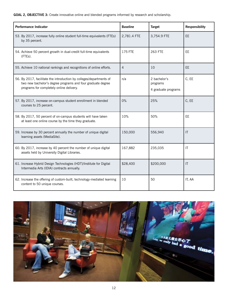#### **GOAL 2, OBJECTIVE 3:** Create innovative online and blended programs informed by research and scholarship.

| <b>Performance Indicator</b>                                                                                                                                                   | <b>Baseline</b> | <b>Target</b>                                   | <b>Responsibility</b> |
|--------------------------------------------------------------------------------------------------------------------------------------------------------------------------------|-----------------|-------------------------------------------------|-----------------------|
| 53. By 2017, increase fully online student full-time equivalents (FTEs)<br>by 35 percent.                                                                                      | 2,781.4 FTE     | 3,754.9 FTE                                     | EE                    |
| 54. Achieve 50 percent growth in dual-credit full-time equivalents<br>(FTEs).                                                                                                  | 175 FTE         | 263 FTE                                         | EE                    |
| 55. Achieve 10 national rankings and recognitions of online efforts.                                                                                                           | $\overline{4}$  | 10                                              | EE                    |
| 56. By 2017, facilitate the introduction by colleges/departments of<br>two new bachelor's degree programs and four graduate degree<br>programs for completely online delivery. | n/a             | 2 bachelor's<br>programs<br>4 graduate programs | C, EE                 |
| 57. By 2017, increase on-campus student enrollment in blended<br>courses to 25 percent.                                                                                        | $0\%$           | 25%                                             | C, EE                 |
| 58. By 2017, 50 percent of on-campus students will have taken<br>at least one online course by the time they graduate.                                                         | 10%             | 50%                                             | <b>EE</b>             |
| 59. Increase by 30 percent annually the number of unique digital<br>learning assets (MediaSite).                                                                               | 150,000         | 556,940                                         | $\mathsf{I}$          |
| 60. By 2017, increase by 40 percent the number of unique digital<br>assets held by University Digital Libraries.                                                               | 167,882         | 235,035                                         | IT                    |
| 61. Increase Hybrid Design Technologies (HDT)/Institute for Digital<br>Intermedia Arts (IDIA) contracts annually.                                                              | \$28,400        | \$200,000                                       | $\mathsf{I}$          |
| 62. Increase the offering of custom-built, technology-mediated learning<br>content to 50 unique courses.                                                                       | 10              | 50                                              | IT, AA                |

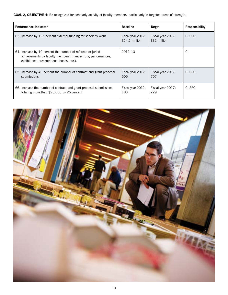GOAL 2, OBJECTIVE 4: Be recognized for scholarly activity of faculty members, particularly in targeted areas of strength.

| <b>Performance Indicator</b>                                                                                                                                            | <b>Baseline</b>                      | <b>Target</b>                     | <b>Responsibility</b> |
|-------------------------------------------------------------------------------------------------------------------------------------------------------------------------|--------------------------------------|-----------------------------------|-----------------------|
| 63. Increase by 125 percent external funding for scholarly work.                                                                                                        | Fiscal year 2012:<br>$$14.1$ million | Fiscal year 2017:<br>\$32 million | C, SPO                |
| 64. Increase by 10 percent the number of refereed or juried<br>achievements by faculty members (manuscripts, performances,<br>exhibitions, presentations, books, etc.). | $2012 - 13$                          |                                   | С                     |
| 65. Increase by 40 percent the number of contract and grant proposal<br>submissions.                                                                                    | Fiscal year 2012:<br>505             | Fiscal year 2017:<br>707          | C, SPO                |
| 66. Increase the number of contract and grant proposal submissions<br>totaling more than \$25,000 by 25 percent.                                                        | Fiscal year 2012:<br>183             | Fiscal year 2017:<br>229          | C, SPO                |

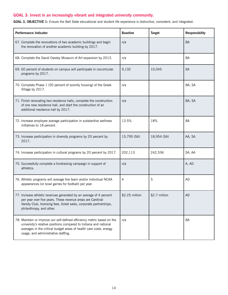#### **GOAL 3: Invest in an increasingly vibrant and integrated university community.**

**GOAL 3, OBJECTIVE 1:** Ensure the Ball State educational and student life experience is distinctive, consistent, and integrated.

| Performance Indicator                                                                                                                                                                                                                                    | <b>Baseline</b> | <b>Target</b> | <b>Responsibility</b> |
|----------------------------------------------------------------------------------------------------------------------------------------------------------------------------------------------------------------------------------------------------------|-----------------|---------------|-----------------------|
| 67. Complete the renovations of two academic buildings and begin<br>the renovation of another academic building by 2017.                                                                                                                                 | n/a             |               | <b>BA</b>             |
| 68. Complete the David Owsley Museum of Art expansion by 2013.                                                                                                                                                                                           | n/a             |               | <b>BA</b>             |
| 69. 60 percent of students on campus will participate in cocurricular<br>programs by 2017.                                                                                                                                                               | 9,132           | 10,045        | <b>SA</b>             |
| 70. Complete Phase 1 (50 percent of sorority housing) of the Greek<br>Village by 2017.                                                                                                                                                                   | n/a             |               | BA, SA                |
| 71. Finish renovating two residence halls, complete the construction<br>of one new residence hall, and start the construction of an<br>additional residence hall by 2017.                                                                                | n/a             |               | BA, SA                |
| 72. Increase employee average participation in substantive wellness<br>initiatives to 18 percent.                                                                                                                                                        | 13.5%           | 18%           | <b>BA</b>             |
| 73. Increase participation in diversity programs by 20 percent by<br>2017.                                                                                                                                                                               | 15,795 (SA)     | 18,954 (SA)   | AA, SA                |
| 74. Increase participation in cultural programs by 20 percent by 2017.                                                                                                                                                                                   | 202,113         | 242,536       | SA, AA                |
| 75. Successfully complete a fundraising campaign in support of<br>athletics.                                                                                                                                                                             | n/a             |               | A, AD                 |
| 76. Athletic programs will average five team and/or individual NCAA<br>appearances (or bowl games for football) per year.                                                                                                                                | 4               | 5             | <b>AD</b>             |
| 77. Increase athletic revenues generated by an average of 4 percent<br>per year over five years. These revenue areas are Cardinal<br>Varsity Club, licensing fees, ticket sales, corporate partnerships,<br>philanthropy, and other.                     | \$2.25 million  | \$2.7 million | A <sub>D</sub>        |
| 78. Maintain or improve our self-defined efficiency metric based on the<br>university's relative positions compared to Indiana and national<br>averages in the critical budget areas of health care costs, energy<br>usage, and administrative staffing. | n/a             |               | <b>BA</b>             |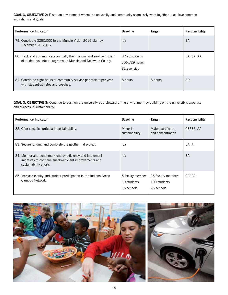**GOAL 3, OBJECTIVE 2:** Foster an environment where the university and community seamlessly work together to achieve common aspirations and goals.

| <b>Performance Indicator</b>                                                                                                        | <b>Baseline</b>                                | <b>Target</b> | <b>Responsibility</b> |
|-------------------------------------------------------------------------------------------------------------------------------------|------------------------------------------------|---------------|-----------------------|
| 79. Contribute \$250,000 to the Muncie Vision 2016 plan by<br>December 31, 2016.                                                    | n/a                                            |               | <b>BA</b>             |
| 80. Track and communicate annually the financial and service impact<br>of student volunteer programs on Muncie and Delaware County. | 8,423 students<br>306,729 hours<br>82 agencies |               | BA, SA, AA            |
| 81. Contribute eight hours of community service per athlete per year<br>with student-athletes and coaches.                          | 8 hours                                        | 8 hours       | <b>AD</b>             |

**GOAL 3, OBJECTIVE 3:** Continue to position the university as a steward of the environment by building on the university's expertise and success in sustainability.

| <b>Performance Indicator</b>                                                                                                                      | <b>Baseline</b>                                | <b>Target</b>                                    | <b>Responsibility</b> |
|---------------------------------------------------------------------------------------------------------------------------------------------------|------------------------------------------------|--------------------------------------------------|-----------------------|
| 82. Offer specific curricula in sustainability.                                                                                                   | Minor in<br>sustainability                     | Major, certificate,<br>and concentration         | CERES, AA             |
| 83. Secure funding and complete the geothermal project.                                                                                           | n/a                                            |                                                  | BA, A                 |
| 84. Monitor and benchmark energy efficiency and implement<br>initiatives to continue energy-efficient improvements and<br>sustainability efforts. | n/a                                            |                                                  | <b>BA</b>             |
| 85. Increase faculty and student participation in the Indiana Green<br>Campus Network.                                                            | 5 faculty members<br>10 students<br>15 schools | 25 faculty members<br>100 students<br>25 schools | <b>CERES</b>          |

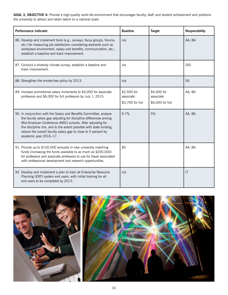GOAL 3, OBJECTIVE 4: Provide a high-quality work-life environment that encourages faculty, staff, and student achievement and positions the university to attract and retain talent on a national scale.

| <b>Performance Indicator</b>                                                                                                                                                                                                                                                                                                                                            | <b>Baseline</b>                              | <b>Target</b>                                | <b>Responsibility</b> |
|-------------------------------------------------------------------------------------------------------------------------------------------------------------------------------------------------------------------------------------------------------------------------------------------------------------------------------------------------------------------------|----------------------------------------------|----------------------------------------------|-----------------------|
| 86. Develop and implement tools (e.g., surveys, focus groups, forums,<br>etc.) for measuring job satisfaction considering elements such as<br>workplace environment, salary and benefits, communication, etc.;<br>establish a baseline and track improvement.                                                                                                           | n/a                                          |                                              | AA, BA                |
| 87. Conduct a diversity climate survey; establish a baseline and<br>track improvement.                                                                                                                                                                                                                                                                                  | n/a                                          |                                              | <b>OID</b>            |
| 88. Strengthen the smoke-free policy by 2013.                                                                                                                                                                                                                                                                                                                           | n/a                                          |                                              | <b>SA</b>             |
| 89. Increase promotional salary increments to \$4,000 for associate<br>professors and \$6,000 for full professors by July 1, 2015.                                                                                                                                                                                                                                      | \$2,500 for<br>associate<br>\$3,700 for full | \$4,000 for<br>associate<br>\$6,000 for full | AA, BA                |
| 90. In conjunction with the Salary and Benefits Committee, analyze<br>the faculty salary gap adjusting for discipline differences among<br>Mid-American Conference (MAC) schools. After adjusting for<br>the discipline mix, and to the extent possible with state funding,<br>reduce the overall faculty salary gap to close to 5 percent by<br>academic year 2016-17. | 9.7%                                         | 5%                                           | AA, BA                |
| 91. Provide up to \$100,000 annually in new university matching<br>funds (increasing the funds available to as much as \$200,000)<br>for professors and associate professors to use for travel associated<br>with professional development and research opportunities.                                                                                                  | \$0                                          |                                              | AA, BA                |
| 92. Develop and implement a plan to train all Enterprise Resource<br>Planning (ERP) system end users, with initial training for all<br>end users to be completed by 2013.                                                                                                                                                                                               | n/a                                          |                                              | $\mathsf{I}$          |



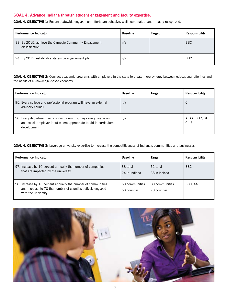#### **GOAL 4: Advance Indiana through student engagement and faculty expertise.**

**GOAL 4, OBJECTIVE 1:** Ensure statewide engagement efforts are cohesive, well coordinated, and broadly recognized.

| <b>Performance Indicator</b>                                              | <b>Baseline</b> | <b>Target</b> | <b>Responsibility</b> |
|---------------------------------------------------------------------------|-----------------|---------------|-----------------------|
| 93. By 2015, achieve the Carnegie Community Engagement<br>classification. | n/a             |               | <b>BBC</b>            |
| 94. By 2013, establish a statewide engagement plan.                       | n/a             |               | <b>BBC</b>            |

**GOAL 4, OBJECTIVE 2:** Connect academic programs with employers in the state to create more synergy between educational offerings and the needs of a knowledge-based economy.

| <b>Performance Indicator</b>                                                                                                                           | <b>Baseline</b> | <b>Target</b> | <b>Responsibility</b>    |
|--------------------------------------------------------------------------------------------------------------------------------------------------------|-----------------|---------------|--------------------------|
| 95. Every college and professional program will have an external<br>advisory council.                                                                  | n/a             |               | С                        |
| 96. Every department will conduct alumni surveys every five years<br>and solicit employer input where appropriate to aid in curriculum<br>development. | n/a             |               | A, AA, BBC, SA,<br>C, IE |

**GOAL 4, OBJECTIVE 3:** Leverage university expertise to increase the competitiveness of Indiana's communities and businesses.

| <b>Performance Indicator</b>                                                                                                                        | <b>Baseline</b>               | <b>Target</b>                 | <b>Responsibility</b> |
|-----------------------------------------------------------------------------------------------------------------------------------------------------|-------------------------------|-------------------------------|-----------------------|
| 97. Increase by 10 percent annually the number of companies<br>that are impacted by the university.                                                 | 38 total<br>24 in Indiana     | 62 total<br>38 in Indiana     | <b>BBC</b>            |
| 98. Increase by 10 percent annually the number of communities<br>and increase to 70 the number of counties actively engaged<br>with the university. | 50 communities<br>50 counties | 80 communities<br>70 counties | BBC, AA               |

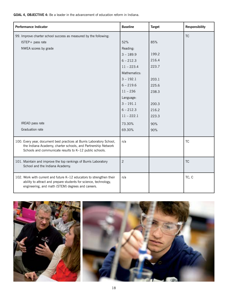**GOAL 4, OBJECTIVE 4:** Be a leader in the advancement of education reform in Indiana.

| <b>Performance Indicator</b>                                                                                                                                                                      | <b>Baseline</b> | <b>Target</b> | <b>Responsibility</b> |
|---------------------------------------------------------------------------------------------------------------------------------------------------------------------------------------------------|-----------------|---------------|-----------------------|
| 99. Improve charter school success as measured by the following:                                                                                                                                  |                 |               | <b>TC</b>             |
| ISTEP+ pass rate                                                                                                                                                                                  | 52%             | 85%           |                       |
| NWEA scores by grade                                                                                                                                                                              | Reading:        |               |                       |
|                                                                                                                                                                                                   | $3 - 189.9$     | 199.2         |                       |
|                                                                                                                                                                                                   | $6 - 212.3$     | 216.4         |                       |
|                                                                                                                                                                                                   | $11 - 223.4$    | 223.7         |                       |
|                                                                                                                                                                                                   | Mathematics:    |               |                       |
|                                                                                                                                                                                                   | $3 - 192.1$     | 203.1         |                       |
|                                                                                                                                                                                                   | $6 - 219.6$     | 225.6         |                       |
|                                                                                                                                                                                                   | $11 - 236$      | 238.3         |                       |
|                                                                                                                                                                                                   | Language:       |               |                       |
|                                                                                                                                                                                                   | $3 - 191.1$     | 200.3         |                       |
|                                                                                                                                                                                                   | $6 - 212.3$     | 216.2         |                       |
|                                                                                                                                                                                                   | $11 - 222.1$    | 223.3         |                       |
| IREAD pass rate                                                                                                                                                                                   | 73.30%          | 90%           |                       |
| Graduation rate                                                                                                                                                                                   | 69.30%          | 90%           |                       |
|                                                                                                                                                                                                   |                 |               |                       |
| 100. Every year, document best practices at Burris Laboratory School,<br>the Indiana Academy, charter schools, and Partnership Network<br>Schools and communicate results to K-12 public schools. | n/a             |               | <b>TC</b>             |
| 101. Maintain and improve the top rankings of Burris Laboratory<br>School and the Indiana Academy.                                                                                                | $\overline{2}$  |               | <b>TC</b>             |
| 102. Work with current and future K-12 educators to strengthen their<br>ability to attract and prepare students for science, technology,<br>engineering, and math (STEM) degrees and careers.     | n/a             |               | TC, C                 |

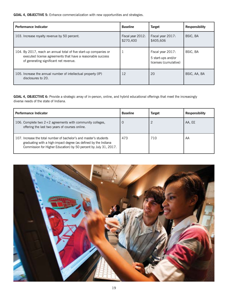**GOAL 4, OBJECTIVE 5:** Enhance commercialization with new opportunities and strategies.

| <b>Performance Indicator</b>                                                                                                                                              | <b>Baseline</b>                | <b>Target</b>                                                    | <b>Responsibility</b> |
|---------------------------------------------------------------------------------------------------------------------------------------------------------------------------|--------------------------------|------------------------------------------------------------------|-----------------------|
| 103. Increase royalty revenue by 50 percent.                                                                                                                              | Fiscal year 2012:<br>\$270,400 | Fiscal year 2017:<br>\$405,606                                   | BSIC, BA              |
| 104. By 2017, reach an annual total of five start-up companies or<br>executed license agreements that have a reasonable success<br>of generating significant net revenue. |                                | Fiscal year 2017:<br>5 start-ups and/or<br>licenses (cumulative) | BSIC, BA              |
| 105. Increase the annual number of intellectual property (IP)<br>disclosures to 20.                                                                                       | 12                             | 20                                                               | BSIC, AA, BA          |

**GOAL 4, OBJECTIVE 6:** Provide a strategic array of in-person, online, and hybrid educational offerings that meet the increasingly diverse needs of the state of Indiana.

| <b>Performance Indicator</b>                                                                                                                                                                              | <b>Baseline</b> | <b>Target</b> | <b>Responsibility</b> |
|-----------------------------------------------------------------------------------------------------------------------------------------------------------------------------------------------------------|-----------------|---------------|-----------------------|
| 106. Complete two $2+2$ agreements with community colleges,<br>offering the last two years of courses online.                                                                                             | U               |               | AA, EE                |
| 107. Increase the total number of bachelor's and master's students<br>graduating with a high-impact degree (as defined by the Indiana<br>Commission for Higher Education) by 50 percent by July 31, 2017. | 473             | 710           | AA                    |

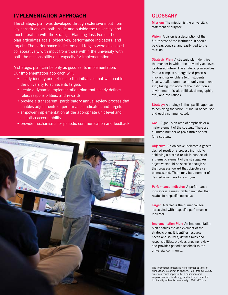#### **IMPLEMENTATION APPROACH**

The strategic plan was developed through extensive input from key constituencies, both inside and outside the university, and much iteration with the Strategic Planning Task Force. The plan articulates goals, objectives, performance indicators, and targets. The performance indicators and targets were developed collaboratively, with input from those within the university with both the responsibility and capacity for implementation.

A strategic plan can be only as good as its implementation. Our implementation approach will:

- clearly identify and articulate the initiatives that will enable the university to achieve its targets
- create a dynamic implementation plan that clearly defines roles, responsibilities, and rewards
- provide a transparent, participatory annual review process that enables adjustments of performance indicators and targets
- empower implementation at the appropriate unit level and establish accountability
- provide mechanisms for periodic communication and feedback.



#### **GLOSSARY**

**Mission:** The mission is the university's statement of purpose.

**Vision:** A vision is a description of the future state of the institution. It should be clear, concise, and easily tied to the mission.

**Strategic Plan:** A strategic plan identifies the manner in which the university achieves its desired future. The strategic plan evolves from a complex but organized process involving stakeholders (e.g., students, faculty, staff, alumni, community members, etc.) taking into account the institution's environment (fiscal, political, demographic, etc.) and aspirations.

**Strategy:** A strategy is the specific approach to achieving the vision. It should be focused and easily communicated.

**Goal:** A goal is an area of emphasis or a major element of the strategy. There are a limited number of goals (three to six) for a strategy.

**Objective:** An objective indicates a general desired result or a process intrinsic to achieving a desired result in support of a thematic element of the strategy. An objective should be specific enough so that progress toward that objective can be measured. There may be a number of desired objectives for each goal.

**Performance Indicator:** A performance indicator is a measurable parameter that relates to a specific objective.

**Target:** A target is the numerical goal associated with a specific performance indicator.

**Implementation Plan:** An implementation plan enables the achievement of the strategic plan. It identifies resource needs and sources, defines roles and responsibilities, provides ongoing review, and provides periodic feedback to the university community.

The information presented here, correct at time of The information presented here, correct at time of publication, is subject to change. Ball State University practices equal opportunity in education and practices equal opportunity in education and<br>employment and is strongly and actively committed to diversity within its community. 9021-12 umc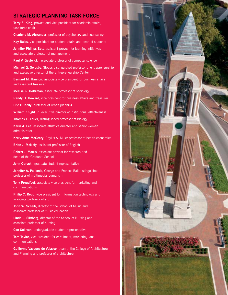#### **STRATEGIC PLANNING TASK FORCE**

**Terry S. King**, provost and vice president for academic affairs, task force chair

**Charlene M. Alexander**, professor of psychology and counseling

**Kay Bales**, vice president for student affairs and dean of students

**Jennifer Phillips Bott**, assistant provost for learning initiatives and associate professor of management

Paul V. Gestwicki, associate professor of computer science

**Michael G. Goldsby**, Stoops distinguished professor of entrepreneurship and executive director of the Entrepreneurship Center

**Bernard M. Hannon**, associate vice president for business affairs and assistant treasurer

**Mellisa K. Holtzman**, associate professor of sociology

**Randy B. Howard**, vice president for business affairs and treasurer

**Eric D. Kelly**, professor of urban planning

**William Knight Jr.**, executive director of institutional effectiveness

**Thomas E. Lauer**, distinguished professor of biology

**Karin A. Lee**, associate athletics director and senior woman administrator

**Kerry Anne McGeary**, Phyllis A. Miller professor of health economics

**Brian J. McNely**, assistant professor of English

**Robert J. Morris**, associate provost for research and dean of the Graduate School

**John Obrycki**, graduate student representative

**Jennifer A. Palilonis**, George and Frances Ball distinguished professor of multimedia journalism

**Tony Proudfoot**, associate vice president for marketing and communications

**Philip C. Repp**, vice president for information technology and associate professor of art

**John W. Scheib**, director of the School of Music and associate professor of music education

**Linda L. Siktberg**, director of the School of Nursing and associate professor of nursing

**Con Sullivan**, undergraduate student representative

**Tom Taylor**, vice president for enrollment, marketing, and communications

**Guillermo Vasquez de Velasco**, dean of the College of Architecture and Planning and professor of architecture